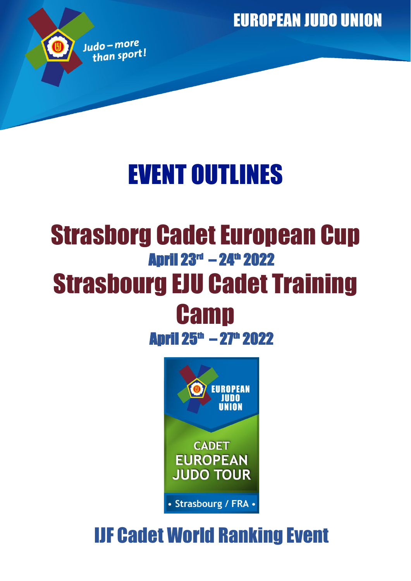**EUROPEAN JUDO UNION** 



# EVENT OUTLINES

## Strasborg Cadet European Cup **April 23<sup>rd</sup> – 24<sup>th</sup> 2022** Strasbourg EJU Cadet Training **Camp**

**April 25<sup>th</sup> – 27<sup>th</sup> 2022** 



## IJF Cadet World Ranking Event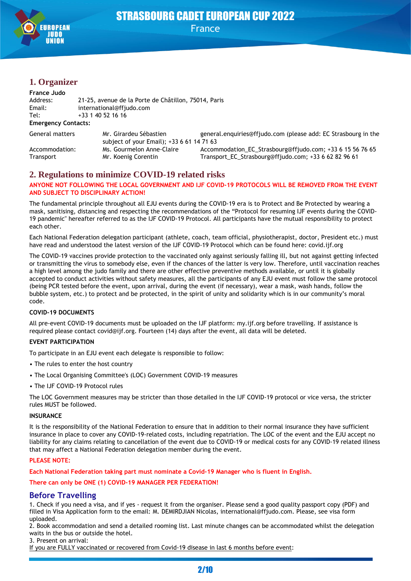

## STRASBOURG CADET EUROPEAN CUP 2022 France

## **1. Organizer**

| France Judo                |                                                                     |                                                                |  |  |
|----------------------------|---------------------------------------------------------------------|----------------------------------------------------------------|--|--|
| Address:                   | 21-25, avenue de la Porte de Châtillon, 75014, Paris                |                                                                |  |  |
| Email:                     | international@ffjudo.com                                            |                                                                |  |  |
| Tel:                       | +33 1 40 52 16 16                                                   |                                                                |  |  |
| <b>Emergency Contacts:</b> |                                                                     |                                                                |  |  |
| <b>General matters</b>     | Mr. Girardeu Sébastien<br>subject of your Email); +33 6 61 14 71 63 | general.enquiries@ffjudo.com (please add: EC Strasbourg in the |  |  |
| Accommodation:             | Ms. Gourmelon Anne-Claire                                           | Accommodation EC Strasbourg@ffjudo.com; +33 6 15 56 76 65      |  |  |
| Transport                  | Mr. Koenig Corentin                                                 | Transport_EC_Strasbourg@ffjudo.com; +33 6 62 82 96 61          |  |  |

## **2. Regulations to minimize COVID-19 related risks**

#### **ANYONE NOT FOLLOWING THE LOCAL GOVERNMENT AND IJF COVID-19 PROTOCOLS WILL BE REMOVED FROM THE EVENT AND SUBJECT TO DISCIPLINARY ACTION!**

The fundamental principle throughout all EJU events during the COVID-19 era is to Protect and Be Protected by wearing a mask, sanitising, distancing and respecting the recommendations of the "Protocol for resuming IJF events during the COVID-19 pandemic" hereafter referred to as the IJF COVID-19 Protocol. All participants have the mutual responsibility to protect each other.

Each National Federation delegation participant (athlete, coach, team official, physiotherapist, doctor, President etc.) must have read and understood the latest version of the IJF COVID-19 Protocol which can be found here: covid.ijf.org

The COVID-19 vaccines provide protection to the vaccinated only against seriously falling ill, but not against getting infected or transmitting the virus to somebody else, even if the chances of the latter is very low. Therefore, until vaccination reaches a high level among the judo family and there are other effective preventive methods available, or until it is globally accepted to conduct activities without safety measures, all the participants of any EJU event must follow the same protocol (being PCR tested before the event, upon arrival, during the event (if necessary), wear a mask, wash hands, follow the bubble system, etc.) to protect and be protected, in the spirit of unity and solidarity which is in our community's moral code.

#### **COVID-19 DOCUMENTS**

All pre-event COVID-19 documents must be uploaded on the IJF platform: my.ijf.org before travelling. If assistance is required please contact covid@ijf.org. Fourteen (14) days after the event, all data will be deleted.

#### **EVENT PARTICIPATION**

To participate in an EJU event each delegate is responsible to follow:

- The rules to enter the host country
- The Local Organising Committee's (LOC) Government COVID-19 measures
- The IJF COVID-19 Protocol rules

The LOC Government measures may be stricter than those detailed in the IJF COVID-19 protocol or vice versa, the stricter rules MUST be followed.

#### **INSURANCE**

It is the responsibility of the National Federation to ensure that in addition to their normal insurance they have sufficient insurance in place to cover any COVID-19-related costs, including repatriation. The LOC of the event and the EJU accept no liability for any claims relating to cancellation of the event due to COVID-19 or medical costs for any COVID-19 related illness that may affect a National Federation delegation member during the event.

#### **PLEASE NOTE:**

**Each National Federation taking part must nominate a Covid-19 Manager who is fluent in English.**

#### **There can only be ONE (1) COVID-19 MANAGER PER FEDERATION!**

#### **Before Travelling**

1. Check if you need a visa, and if yes - request it from the organiser. Please send a good quality passport copy (PDF) and filled in Visa Application form to the email: M. DEMIRDJIAN Nicolas, international@ffjudo.com. Please, see visa form uploaded.

2. Book accommodation and send a detailed rooming list. Last minute changes can be accommodated whilst the delegation waits in the bus or outside the hotel.

3. Present on arrival:

If you are FULLY vaccinated or recovered from Covid-19 disease in last 6 months before event: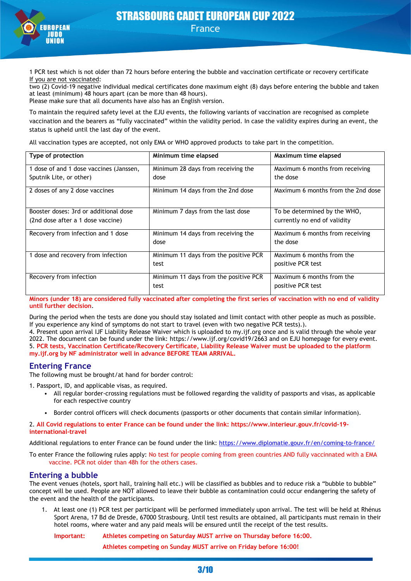

1 PCR test which is not older than 72 hours before entering the bubble and vaccination certificate or recovery certificate If you are not vaccinated:

two (2) Covid-19 negative individual medical certificates done maximum eight (8) days before entering the bubble and taken at least (minimum) 48 hours apart (can be more than 48 hours). Please make sure that all documents have also has an English version.

To maintain the required safety level at the EJU events, the following variants of vaccination are recognised as complete vaccination and the bearers as "fully vaccinated" within the validity period. In case the validity expires during an event, the status is upheld until the last day of the event.

All vaccination types are accepted, not only EMA or WHO approved products to take part in the competition.

| Type of protection                      | Minimum time elapsed                  | Maximum time elapsed               |
|-----------------------------------------|---------------------------------------|------------------------------------|
| 1 dose of and 1 dose vaccines (Janssen, | Minimum 28 days from receiving the    | Maximum 6 months from receiving    |
| Sputnik Lite, or other)                 | dose                                  | the dose                           |
| 2 doses of any 2 dose vaccines          | Minimum 14 days from the 2nd dose     | Maximum 6 months from the 2nd dose |
| Booster doses: 3rd or additional dose   | Minimum 7 days from the last dose     | To be determined by the WHO,       |
| (2nd dose after a 1 dose vaccine)       |                                       | currently no end of validity       |
| Recovery from infection and 1 dose      | Minimum 14 days from receiving the    | Maximum 6 months from receiving    |
|                                         | dose                                  | the dose                           |
| 1 dose and recovery from infection      | Minimum 11 days from the positive PCR | Maximum 6 months from the          |
|                                         | test                                  | positive PCR test                  |
| Recovery from infection                 | Minimum 11 days from the positive PCR | Maximum 6 months from the          |
|                                         | test                                  | positive PCR test                  |

**Minors (under 18) are considered fully vaccinated after completing the first series of vaccination with no end of validity until further decision**.

During the period when the tests are done you should stay isolated and limit contact with other people as much as possible. If you experience any kind of symptoms do not start to travel (even with two negative PCR tests).).

4. Present upon arrival IJF Liability Release Waiver which is uploaded to my.ijf.org once and is valid through the whole year 2022. The document can be found under the link: https://www.ijf.org/covid19/2663 and on EJU homepage for every event. 5. **PCR tests, Vaccination Certificate/Recovery Certificate, Liability Release Waiver must be uploaded to the platform my.ijf.org by NF administrator well in advance BEFORE TEAM ARRIVAL.**

### **Entering France**

The following must be brought/at hand for border control:

1. Passport, ID, and applicable visas, as required.

- All regular border-crossing regulations must be followed regarding the validity of passports and visas, as applicable for each respective country
- Border control officers will check documents (passports or other documents that contain similar information).

2. **All Covid regulations to enter France can be found under the link: https://www.interieur.gouv.fr/covid-19 international-travel**

Additional regulations to enter France can be found under the link:<https://www.diplomatie.gouv.fr/en/coming-to-france/>

To enter France the following rules apply: No test for people coming from green countries AND fully vaccinnated with a EMA vaccine. PCR not older than 48h for the others cases.

#### **Entering a bubble**

The event venues (hotels, sport hall, training hall etc.) will be classified as bubbles and to reduce risk a "bubble to bubble" concept will be used. People are NOT allowed to leave their bubble as contamination could occur endangering the safety of the event and the health of the participants.

1. At least one (1) PCR test per participant will be performed immediately upon arrival. The test will be held at Rhénus Sport Arena, 17 Bd de Dresde, 67000 Strasbourg. Until test results are obtained, all participants must remain in their hotel rooms, where water and any paid meals will be ensured until the receipt of the test results.

**Important: Athletes competing on Saturday MUST arrive on Thursday before 16:00.**

**Athletes competing on Sunday MUST arrive on Friday before 16:00!**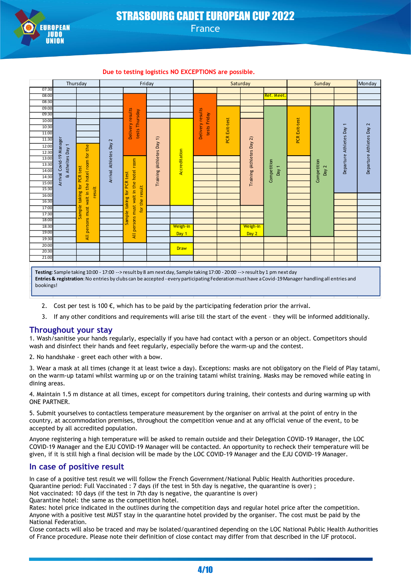

## STRASBOURG CADET EUROPEAN CUP 2022 France

#### **Due to testing logistics NO EXCEPTIONS are possible.**

|           | Thursday                 |                                                 |                      | Friday                                                                                                                                             |                         | Saturday      |                                  | Sunday                 |                         | Monday                   |               |                          |              |                        |  |  |  |
|-----------|--------------------------|-------------------------------------------------|----------------------|----------------------------------------------------------------------------------------------------------------------------------------------------|-------------------------|---------------|----------------------------------|------------------------|-------------------------|--------------------------|---------------|--------------------------|--------------|------------------------|--|--|--|
| 07:30     |                          |                                                 |                      |                                                                                                                                                    |                         |               |                                  |                        |                         |                          |               |                          |              |                        |  |  |  |
| 08:00     |                          |                                                 |                      |                                                                                                                                                    |                         |               |                                  |                        |                         | <b>Ref. Meet</b>         |               |                          |              |                        |  |  |  |
| 08:30     |                          |                                                 |                      |                                                                                                                                                    |                         |               |                                  |                        |                         |                          |               |                          |              |                        |  |  |  |
| 09:00     |                          |                                                 |                      |                                                                                                                                                    |                         |               |                                  |                        |                         |                          |               |                          |              |                        |  |  |  |
| 09:30     |                          |                                                 |                      |                                                                                                                                                    |                         |               |                                  |                        |                         |                          |               |                          |              |                        |  |  |  |
| 10:00     |                          |                                                 |                      | Delivery results<br>Thursday                                                                                                                       |                         |               | Delivery results<br>tests Friday | <b>PCR Exit-test</b>   |                         |                          | PCR Exit-test |                          |              |                        |  |  |  |
| 10:30     |                          |                                                 |                      |                                                                                                                                                    |                         |               |                                  |                        |                         |                          |               | $\overline{\phantom{0}}$ | 2            |                        |  |  |  |
| 11:00     |                          |                                                 |                      | tests                                                                                                                                              |                         |               |                                  |                        |                         |                          |               |                          |              |                        |  |  |  |
| 11:30     |                          |                                                 | 2                    |                                                                                                                                                    | $\widehat{\phantom{a}}$ |               |                                  |                        | $\widehat{\mathcal{L}}$ |                          |               |                          |              |                        |  |  |  |
| 12:00     |                          |                                                 |                      |                                                                                                                                                    |                         |               |                                  |                        |                         |                          |               |                          | Athletes Day |                        |  |  |  |
| 12:30     |                          |                                                 |                      |                                                                                                                                                    |                         |               |                                  |                        |                         |                          |               |                          |              |                        |  |  |  |
| 13:00     |                          |                                                 |                      |                                                                                                                                                    |                         |               |                                  |                        |                         |                          |               |                          |              |                        |  |  |  |
| 13:30     | & Atheltes Day 1         |                                                 |                      |                                                                                                                                                    |                         | Accreditation |                                  |                        |                         | $\overline{\phantom{0}}$ |               | 2                        | Departure    | Departure Athletes Day |  |  |  |
| 14:00     |                          |                                                 |                      | Training (Athletes Day<br><b>PCR</b> test                                                                                                          |                         |               |                                  |                        |                         |                          |               | Day                      |              | Day                    |  |  |  |
| 14:30     | Arrival Covid-19 Manager | PCR test                                        | Arrival Athletes Day |                                                                                                                                                    |                         |               |                                  | Training (Athletes Day | Competition             |                          | Competition   |                          |              |                        |  |  |  |
| 15:00     |                          | for                                             |                      |                                                                                                                                                    |                         |               |                                  |                        |                         |                          |               |                          |              |                        |  |  |  |
| 15:30     |                          | result                                          |                      | result<br>tor                                                                                                                                      |                         |               |                                  |                        |                         |                          |               |                          |              |                        |  |  |  |
| 16:00     |                          | taking                                          |                      | All persons must wait in the hotel room<br>taking<br>for the                                                                                       |                         |               |                                  |                        |                         |                          |               |                          |              |                        |  |  |  |
| 16:30     |                          | All persons must wait in the hotel room for the |                      |                                                                                                                                                    |                         |               |                                  |                        |                         |                          |               |                          |              |                        |  |  |  |
| 17:00     |                          | ample                                           |                      |                                                                                                                                                    |                         |               |                                  |                        |                         |                          |               |                          |              |                        |  |  |  |
| 17:30     |                          |                                                 |                      | Sample                                                                                                                                             |                         |               |                                  |                        |                         |                          |               |                          |              |                        |  |  |  |
| 18:00     |                          |                                                 |                      |                                                                                                                                                    |                         |               |                                  |                        |                         |                          |               |                          |              |                        |  |  |  |
| 18:30     |                          |                                                 |                      |                                                                                                                                                    |                         | Weigh-in      |                                  |                        | Weigh-in                |                          |               |                          |              |                        |  |  |  |
| 19:00     |                          |                                                 |                      |                                                                                                                                                    |                         | Day 1         |                                  |                        | Day 2                   |                          |               |                          |              |                        |  |  |  |
| 19:30     |                          |                                                 |                      |                                                                                                                                                    |                         |               |                                  |                        |                         |                          |               |                          |              |                        |  |  |  |
| 20:00     |                          |                                                 |                      |                                                                                                                                                    |                         | <b>Draw</b>   |                                  |                        |                         |                          |               |                          |              |                        |  |  |  |
| 20:30     |                          |                                                 |                      |                                                                                                                                                    |                         |               |                                  |                        |                         |                          |               |                          |              |                        |  |  |  |
| 21:00     |                          |                                                 |                      |                                                                                                                                                    |                         |               |                                  |                        |                         |                          |               |                          |              |                        |  |  |  |
|           |                          |                                                 |                      |                                                                                                                                                    |                         |               |                                  |                        |                         |                          |               |                          |              |                        |  |  |  |
|           |                          |                                                 |                      | Testing: Sample taking 10:00 - 17:00 --> result by 8 am next day, Sample taking 17:00 - 20:00 --> result by 1 pm next day                          |                         |               |                                  |                        |                         |                          |               |                          |              |                        |  |  |  |
|           |                          |                                                 |                      | Entries & registration: No entries by clubs can be accepted - every participating Federation must have a Covid-19 Manager handling all entries and |                         |               |                                  |                        |                         |                          |               |                          |              |                        |  |  |  |
| bookings! |                          |                                                 |                      |                                                                                                                                                    |                         |               |                                  |                        |                         |                          |               |                          |              |                        |  |  |  |

- 2. Cost per test is 100  $\epsilon$ , which has to be paid by the participating federation prior the arrival.
- 3. If any other conditions and requirements will arise till the start of the event they will be informed additionally.

#### **Throughout your stay**

1. Wash/sanitise your hands regularly, especially if you have had contact with a person or an object. Competitors should wash and disinfect their hands and feet regularly, especially before the warm-up and the contest.

2. No handshake - greet each other with a bow.

3. Wear a mask at all times (change it at least twice a day). Exceptions: masks are not obligatory on the Field of Play tatami, on the warm-up tatami whilst warming up or on the training tatami whilst training. Masks may be removed while eating in dining areas.

4. Maintain 1.5 m distance at all times, except for competitors during training, their contests and during warming up with ONE PARTNER.

5. Submit yourselves to contactless temperature measurement by the organiser on arrival at the point of entry in the country, at accommodation premises, throughout the competition venue and at any official venue of the event, to be accepted by all accredited population.

Anyone registering a high temperature will be asked to remain outside and their Delegation COVID-19 Manager, the LOC COVID-19 Manager and the EJU COVID-19 Manager will be contacted. An opportunity to recheck their temperature will be given, if it is still high a final decision will be made by the LOC COVID-19 Manager and the EJU COVID-19 Manager.

#### **In case of positive result**

In case of a positive test result we will follow the French Government/National Public Health Authorities procedure. Quarantine period: Full Vaccinated : 7 days (if the test in 5th day is negative, the quarantine is over) ; Not vaccinated: 10 days (if the test in 7th day is negative, the quarantine is over)

Quarantine hotel: the same as the competition hotel.

Rates: hotel price indicated in the outlines during the competition days and regular hotel price after the competition. Anyone with a positive test MUST stay in the quarantine hotel provided by the organiser. The cost must be paid by the National Federation.

Close contacts will also be traced and may be isolated/quarantined depending on the LOC National Public Health Authorities of France procedure. Please note their definition of close contact may differ from that described in the IJF protocol.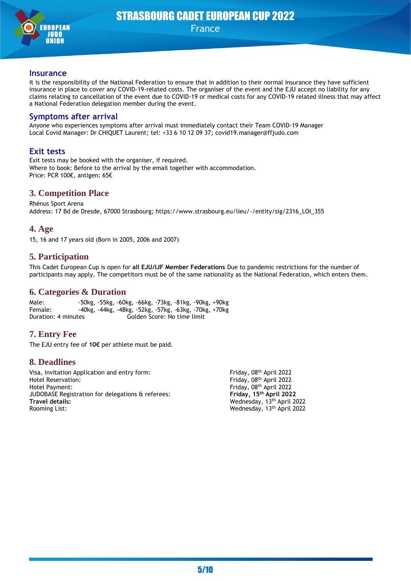

#### **Insurance**

It is the responsibility of the National Federation to ensure that in addition to their normal insurance they have sufficient insurance in place to cover any COVID-19-related costs. The organiser of the event and the EJU accept no liability for any claims relating to cancellation of the event due to COVID-19 or medical costs for any COVID-19 related illness that may affect a National Federation delegation member during the event.

#### **Symptoms after arrival**

Anyone who experiences symptoms after arrival must immediately contact their Team COVID-19 Manager Local Covid Manager: Dr CHIQUET Laurent; tel: +33 6 10 12 09 37; covid19.manager@ffjudo.com

## **Exit tests**

Exit tests may be booked with the organiser, if required. Where to book: Before to the arrival by the email together with accommodation. Price: PCR 100€, antigen: 65€

## **3. Competition Place**

Rhénus Sport Arena Address: 17 Bd de Dresde, 67000 Strasbourg; https://www.strasbourg.eu/lieu/-/entity/sig/2316\_LOI\_355

### **4. Age**

15, 16 and 17 years old (Born in 2005, 2006 and 2007)

## **5. Participation**

This Cadet European Cup is open for **all EJU/IJF Member Federations** Due to pandemic restrictions for the number of participants may apply. The competitors must be of the same nationality as the National Federation, which enters them.

## **6. Categories & Duration**

Male: -50kg, -55kg, -60kg, -66kg, -73kg, -81kg, -90kg, +90kg Female: -40kg, -44kg, -48kg, -52kg, -57kg, -63kg, -70kg, +70kg Duration: 4 minutes Golden Score: No time limit

## **7. Entry Fee**

The EJU entry fee of **10€** per athlete must be paid.

### **8. Deadlines**

Visa, Invitation Application and entry form: Friday, 08th April 2022 Hotel Reservation: Friday, 08<sup>th</sup> April 2022 Hotel Payment:<br>
JUDOBASE Registration for delegations & referees: Friday, 15<sup>th</sup> April 2022 JUDOBASE Registration for delegations & referees: **Friday, 15th April 2022 Travel details:** Wednesday, 13th April 2022 Rooming List: Wednesday, 13th April 2022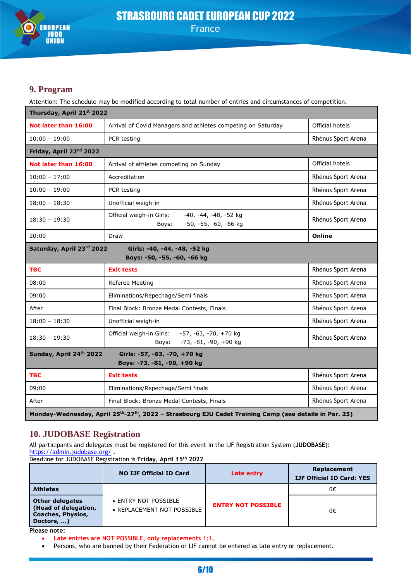

## **9. Program**

Attention: The schedule may be modified according to total number of entries and circumstances of competition.

| Thursday, April 21st 2022           |                                                                                          |                    |  |  |
|-------------------------------------|------------------------------------------------------------------------------------------|--------------------|--|--|
| Not later than 16:00                | Arrival of Covid Managers and athletes competing on Saturday                             | Official hotels    |  |  |
| $10:00 - 19:00$                     | PCR testing                                                                              | Rhénus Sport Arena |  |  |
| Friday, April 22 <sup>nd</sup> 2022 |                                                                                          |                    |  |  |
| Not later than 16:00                | Arrival of athletes competing on Sunday                                                  | Official hotels    |  |  |
| $10:00 - 17:00$                     | Accreditation                                                                            | Rhénus Sport Arena |  |  |
| $10:00 - 19:00$                     | PCR testing                                                                              | Rhénus Sport Arena |  |  |
| $18:00 - 18:30$                     | Unofficial weigh-in                                                                      | Rhénus Sport Arena |  |  |
| $18:30 - 19:30$                     | Official weigh-in Girls:<br>-40, -44, -48, -52 kg<br>-50, -55, -60, -66 kg<br>Boys:      | Rhénus Sport Arena |  |  |
| 20:00                               | Draw                                                                                     | Online             |  |  |
|                                     | Saturday, April 23rd 2022<br>Girls: -40, -44, -48, -52 kg<br>Boys: -50, -55, -60, -66 kg |                    |  |  |
|                                     |                                                                                          |                    |  |  |
| <b>TBC</b>                          | <b>Exit tests</b>                                                                        | Rhénus Sport Arena |  |  |
| 08:00                               | Referee Meeting                                                                          | Rhénus Sport Arena |  |  |
| 09:00                               | Eliminations/Repechage/Semi finals                                                       | Rhénus Sport Arena |  |  |
| After                               | Final Block: Bronze Medal Contests, Finals                                               | Rhénus Sport Arena |  |  |
| $18:00 - 18:30$                     | Unofficial weigh-in                                                                      | Rhénus Sport Arena |  |  |
| $18:30 - 19:30$                     | Official weigh-in Girls: -57, -63, -70, +70 kg<br>-73, -81, -90, +90 kg<br>Boys:         | Rhénus Sport Arena |  |  |
| Sunday, April 24th 2022             | Girls: -57, -63, -70, +70 kg<br>Boys: -73, -81, -90, +90 kg                              |                    |  |  |
| <b>TBC</b>                          | <b>Exit tests</b>                                                                        | Rhénus Sport Arena |  |  |
| 09:00                               | Eliminations/Repechage/Semi finals                                                       | Rhénus Sport Arena |  |  |
| After                               | Final Block: Bronze Medal Contests, Finals                                               | Rhénus Sport Arena |  |  |

## **10. JUDOBASE Registration**

All participants and delegates must be registered for this event in the IJF Registration System (**JUDOBASE)**: <https://admin.judobase.org/> .

Deadline for JUDOBASE Registration is **Friday, April 15th 2022**

|                                                                            | <b>NO IJF Official ID Card</b>                     | Late entry                | Replacement<br><b>IJF Official ID Card: YES</b> |
|----------------------------------------------------------------------------|----------------------------------------------------|---------------------------|-------------------------------------------------|
| <b>Athletes</b>                                                            |                                                    |                           | 0€                                              |
| Other delegates<br>(Head of delegation,<br>Coaches, Physios,<br>Doctors, ) | • ENTRY NOT POSSIBLE<br>• REPLACEMENT NOT POSSIBLE | <b>ENTRY NOT POSSIBLE</b> | 0€                                              |

**Please note:**

• **Late entries are NOT POSSIBLE, only replacements 1:1.**

Persons, who are banned by their Federation or IJF cannot be entered as late entry or replacement.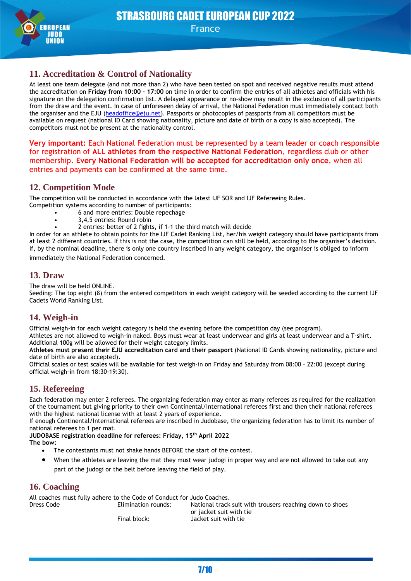

## **11. Accreditation & Control of Nationality**

At least one team delegate (and not more than 2) who have been tested on spot and received negative results must attend the accreditation on **Friday from 10:00 – 17:00** on time in order to confirm the entries of all athletes and officials with his signature on the delegation confirmation list. A delayed appearance or no-show may result in the exclusion of all participants from the draw and the event. In case of unforeseen delay of arrival, the National Federation must immediately contact both the organiser and the EJU [\(headoffice@eju.net\)](mailto:headoffice@eju.net). Passports or photocopies of passports from all competitors must be available on request (national ID Card showing nationality, picture and date of birth or a copy is also accepted). The competitors must not be present at the nationality control.

**Very important:** Each National Federation must be represented by a team leader or coach responsible for registration of **ALL athletes from the respective National Federation**, regardless club or other membership. **Every National Federation will be accepted for accreditation only once**, when all entries and payments can be confirmed at the same time.

## **12. Competition Mode**

The competition will be conducted in accordance with the latest IJF SOR and IJF Refereeing Rules.

- Competition systems according to number of participants:
	- 6 and more entries: Double repechage
	- 3,4,5 entries: Round robin
	- 2 entries: better of 2 fights, if 1-1 the third match will decide

In order for an athlete to obtain points for the IJF Cadet Ranking List, her/his weight category should have participants from at least 2 different countries. If this is not the case, the competition can still be held, according to the organiser's decision. If, by the nominal deadline, there is only one country inscribed in any weight category, the organiser is obliged to inform immediately the National Federation concerned.

## **13. Draw**

The draw will be held ONLINE.

Seeding: The top eight (8) from the entered competitors in each weight category will be seeded according to the current IJF Cadets World Ranking List.

## **14. Weigh-in**

Official weigh-in for each weight category is held the evening before the competition day (see program).

Athletes are not allowed to weigh-in naked. Boys must wear at least underwear and girls at least underwear and a T-shirt. Additional 100g will be allowed for their weight category limits.

**Athletes must present their EJU accreditation card and their passport** (National ID Cards showing nationality, picture and date of birth are also accepted).

Official scales or test scales will be available for test weigh-in on Friday and Saturday from 08:00 – 22:00 (except during official weigh-in from 18:30-19:30).

## **15. Refereeing**

Each federation may enter 2 referees. The organizing federation may enter as many referees as required for the realization of the tournament but giving priority to their own Continental/International referees first and then their national referees with the highest national license with at least 2 years of experience.

If enough Continental/International referees are inscribed in Judobase, the organizing federation has to limit its number of national referees to 1 per mat.

**JUDOBASE registration deadline for referees: Friday, 15th April 2022 The bow:**

- The contestants must not shake hands BEFORE the start of the contest.
- When the athletes are leaving the mat they must wear judogi in proper way and are not allowed to take out any part of the judogi or the belt before leaving the field of play.

## **16. Coaching**

All coaches must fully adhere to the Code of Conduct for Judo Coaches. Dress Code Elimination rounds: National track suit with trousers reaching down to shoes or jacket suit with tie Final block: Jacket suit with tie

7/10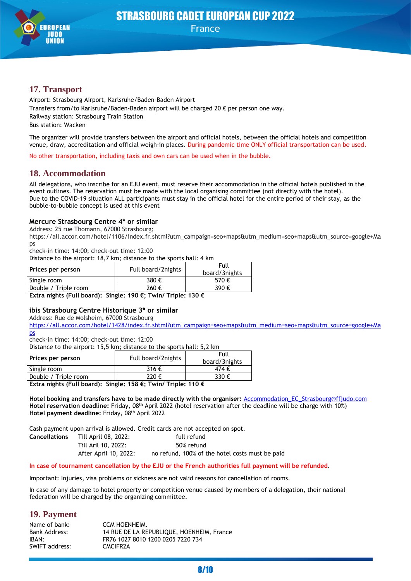

## **17. Transport**

Airport: Strasbourg Airport, Karlsruhe/Baden-Baden Airport Transfers from/to Karlsruhe/Baden-Baden airport will be charged 20 € per person one way. Railway station: Strasbourg Train Station Bus station: Wacken

The organizer will provide transfers between the airport and official hotels, between the official hotels and competition venue, draw, accreditation and official weigh-in places. During pandemic time ONLY official transportation can be used.

No other transportation, including taxis and own cars can be used when in the bubble.

### **18. Accommodation**

All delegations, who inscribe for an EJU event, must reserve their accommodation in the official hotels published in the event outlines. The reservation must be made with the local organising committee (not directly with the hotel). Due to the COVID-19 situation ALL participants must stay in the official hotel for the entire period of their stay, as the bubble-to-bubble concept is used at this event

#### **Mercure Strasbourg Centre 4\* or similar**

Address: 25 rue Thomann, 67000 Strasbourg;

https://all.accor.com/hotel/1106/index.fr.shtml?utm\_campaign=seo+maps&utm\_medium=seo+maps&utm\_source=google+Ma ps

check-in time: 14:00; check-out time: 12:00

Distance to the airport: 18,7 km; distance to the sports hall: 4 km

| Prices per person    | Full board/2nights | Full<br>board/3nights |
|----------------------|--------------------|-----------------------|
| Single room          | 380 €              | 570€                  |
| Double / Triple room | 260€               | 390€                  |

**Extra nights (Full board): Single: 190 €; Twin/ Triple: 130 €**

#### **ibis Strasbourg Centre Historique 3\* or similar**

Address: Rue de Molsheim, 67000 Strasbourg

[https://all.accor.com/hotel/1428/index.fr.shtml?utm\\_campaign=seo+maps&utm\\_medium=seo+maps&utm\\_source=google+Ma](https://all.accor.com/hotel/1428/index.fr.shtml?utm_campaign=seo+maps&utm_medium=seo+maps&utm_source=google+Maps) [ps](https://all.accor.com/hotel/1428/index.fr.shtml?utm_campaign=seo+maps&utm_medium=seo+maps&utm_source=google+Maps)

check-in time: 14:00; check-out time: 12:00

Distance to the airport: 15,5 km; distance to the sports hall: 5,2 km

| Prices per person    | Full board/2nights | Full<br>board/3nights |
|----------------------|--------------------|-----------------------|
| Single room          | 316€               | 474 €                 |
| Double / Triple room | 220€               | 330€                  |
| $-$<br>$-$           |                    |                       |

**Extra nights (Full board): Single: 158 €; Twin/ Triple: 110 €**

**Hotel booking and transfers have to be made directly with the organiser:** [Accommodation\\_EC\\_Strasbourg@ffjudo.com](mailto:Accommodation_EC_Strasbourg@ffjudo.com) **Hotel reservation deadline:** Friday, 08th April 2022 (hotel reservation after the deadline will be charge with 10%) Hotel payment deadline: Friday, 08<sup>th</sup> April 2022

Cash payment upon arrival is allowed. Credit cards are not accepted on spot.

| <b>Cancellations</b> | Till April 08, 2022:  | full refund                                     |
|----------------------|-----------------------|-------------------------------------------------|
|                      | Till Aril 10. 2022:   | 50% refund                                      |
|                      | After April 10, 2022: | no refund, 100% of the hotel costs must be paid |

#### **In case of tournament cancellation by the EJU or the French authorities full payment will be refunded**.

Important: Injuries, visa problems or sickness are not valid reasons for cancellation of rooms.

In case of any damage to hotel property or competition venue caused by members of a delegation, their national federation will be charged by the organizing committee.

### **19. Payment**

| Name of bank:  | CCM HOENHEIM.                             |
|----------------|-------------------------------------------|
| Bank Address:  | 14 RUE DE LA REPUBLIQUE, HOENHEIM, France |
| IBAN:          | FR76 1027 8010 1200 0205 7220 734         |
| SWIFT address: | CMCIFR2A                                  |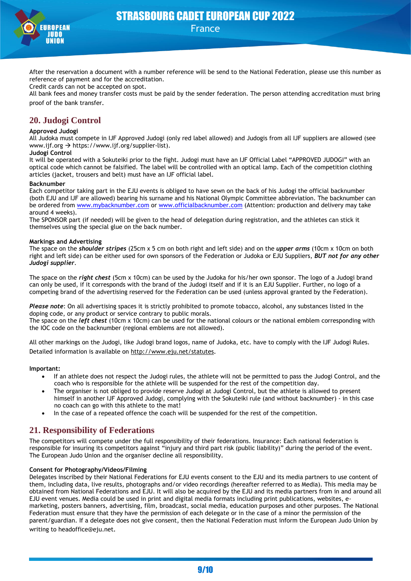

After the reservation a document with a number reference will be send to the National Federation, please use this number as reference of payment and for the accreditation.

Credit cards can not be accepted on spot.

All bank fees and money transfer costs must be paid by the sender federation. The person attending accreditation must bring proof of the bank transfer.

## **20. Judogi Control**

#### **Approved Judogi**

All Judoka must compete in IJF Approved Judogi (only red label allowed) and Judogis from all IJF suppliers are allowed (see www.ijf.org → https://www.ijf.org/supplier-list).

#### **Judogi Control**

It will be operated with a Sokuteiki prior to the fight. Judogi must have an IJF Official Label "APPROVED JUDOGI" with an optical code which cannot be falsified. The label will be controlled with an optical lamp. Each of the competition clothing articles (jacket, trousers and belt) must have an IJF official label.

#### **Backnumber**

Each competitor taking part in the EJU events is obliged to have sewn on the back of his Judogi the official backnumber (both EJU and IJF are allowed) bearing his surname and his National Olympic Committee abbreviation. The backnumber can be ordered from [www.mybacknumber.com](http://www.mybacknumber.com/) or [www.officialbacknumber.com](http://www.officialbacknumber.com/) (Attention: production and delivery may take around 4 weeks).

The SPONSOR part (if needed) will be given to the head of delegation during registration, and the athletes can stick it themselves using the special glue on the back number.

#### **Markings and Advertising**

The space on the *shoulder stripes* (25cm x 5 cm on both right and left side) and on the *upper arms* (10cm x 10cm on both right and left side) can be either used for own sponsors of the Federation or Judoka or EJU Suppliers, *BUT not for any other Judogi supplier*.

The space on the *right chest* (5cm x 10cm) can be used by the Judoka for his/her own sponsor. The logo of a Judogi brand can only be used, if it corresponds with the brand of the Judogi itself and if it is an EJU Supplier. Further, no logo of a competing brand of the advertising reserved for the Federation can be used (unless approval granted by the Federation).

*Please note*: On all advertising spaces it is strictly prohibited to promote tobacco, alcohol, any substances listed in the doping code, or any product or service contrary to public morals.

The space on the *left chest* (10cm x 10cm) can be used for the national colours or the national emblem corresponding with the IOC code on the backnumber (regional emblems are not allowed).

All other markings on the Judogi, like Judogi brand logos, name of Judoka, etc. have to comply with the IJF Judogi Rules. Detailed information is available on<http://www.eju.net/statutes>.

#### **Important:**

- If an athlete does not respect the Judogi rules, the athlete will not be permitted to pass the Judogi Control, and the coach who is responsible for the athlete will be suspended for the rest of the competition day.
- The organiser is not obliged to provide reserve Judogi at Judogi Control, but the athlete is allowed to present himself in another IJF Approved Judogi, complying with the Sokuteiki rule (and without backnumber) - in this case no coach can go with this athlete to the mat!
- In the case of a repeated offence the coach will be suspended for the rest of the competition.

## **21. Responsibility of Federations**

The competitors will compete under the full responsibility of their federations. Insurance: Each national federation is responsible for insuring its competitors against "injury and third part risk (public liability)" during the period of the event. The European Judo Union and the organiser decline all responsibility.

#### **Consent for Photography/Videos/Filming**

Delegates inscribed by their National Federations for EJU events consent to the EJU and its media partners to use content of them, including data, live results, photographs and/or video recordings (hereafter referred to as Media). This media may be obtained from National Federations and EJU. It will also be acquired by the EJU and its media partners from in and around all EJU event venues. Media could be used in print and digital media formats including print publications, websites, emarketing, posters banners, advertising, film, broadcast, social media, education purposes and other purposes. The National Federation must ensure that they have the permission of each delegate or in the case of a minor the permission of the parent/guardian. If a delegate does not give consent, then the National Federation must inform the European Judo Union by writing to headoffice@eju.net.